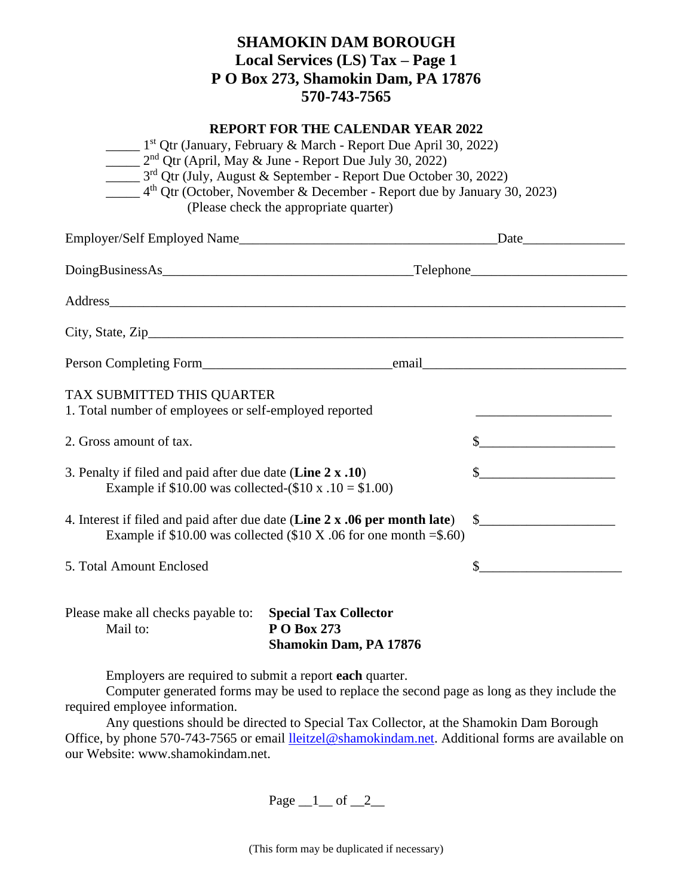## **SHAMOKIN DAM BOROUGH Local Services (LS) Tax – Page 1 P O Box 273, Shamokin Dam, PA 17876 570-743-7565**

## **REPORT FOR THE CALENDAR YEAR 2022**

|                                                                                                                        | $\frac{1}{1}$ 1 <sup>st</sup> Qtr (January, February & March - Report Due April 30, 2022)<br>$2nd$ Qtr (April, May & June - Report Due July 30, 2022)<br>$\frac{1}{2}$ 3 <sup>rd</sup> Qtr (July, August & September - Report Due October 30, 2022)<br>$\frac{4^{\text{th}}}{100}$ Qtr (October, November & December - Report due by January 30, 2023)<br>(Please check the appropriate quarter) |              |
|------------------------------------------------------------------------------------------------------------------------|--------------------------------------------------------------------------------------------------------------------------------------------------------------------------------------------------------------------------------------------------------------------------------------------------------------------------------------------------------------------------------------------------|--------------|
|                                                                                                                        |                                                                                                                                                                                                                                                                                                                                                                                                  |              |
|                                                                                                                        |                                                                                                                                                                                                                                                                                                                                                                                                  |              |
|                                                                                                                        | Address                                                                                                                                                                                                                                                                                                                                                                                          |              |
|                                                                                                                        |                                                                                                                                                                                                                                                                                                                                                                                                  |              |
|                                                                                                                        |                                                                                                                                                                                                                                                                                                                                                                                                  |              |
| TAX SUBMITTED THIS QUARTER<br>1. Total number of employees or self-employed reported                                   |                                                                                                                                                                                                                                                                                                                                                                                                  |              |
| 2. Gross amount of tax.                                                                                                | $\frac{1}{2}$ $\frac{1}{2}$ $\frac{1}{2}$ $\frac{1}{2}$ $\frac{1}{2}$ $\frac{1}{2}$ $\frac{1}{2}$ $\frac{1}{2}$ $\frac{1}{2}$ $\frac{1}{2}$ $\frac{1}{2}$ $\frac{1}{2}$ $\frac{1}{2}$ $\frac{1}{2}$ $\frac{1}{2}$ $\frac{1}{2}$ $\frac{1}{2}$ $\frac{1}{2}$ $\frac{1}{2}$ $\frac{1}{2}$ $\frac{1}{2}$ $\frac{1}{2}$                                                                              |              |
| 3. Penalty if filed and paid after due date (Line 2 x .10)<br>Example if $$10.00$ was collected- $$10 x .10 = $1.00$ ) | $\frac{1}{2}$                                                                                                                                                                                                                                                                                                                                                                                    |              |
| 4. Interest if filed and paid after due date (Line 2 x .06 per month late)                                             | Example if $$10.00$ was collected ( $$10 X.06$ for one month = \$.60)                                                                                                                                                                                                                                                                                                                            | $\sim$       |
| 5. Total Amount Enclosed                                                                                               |                                                                                                                                                                                                                                                                                                                                                                                                  | $\mathbb{S}$ |
| Please make all checks payable to:<br>Mail to:                                                                         | <b>Special Tax Collector</b><br>P O Box 273<br><b>Shamokin Dam, PA 17876</b>                                                                                                                                                                                                                                                                                                                     |              |

Employers are required to submit a report **each** quarter.

Computer generated forms may be used to replace the second page as long as they include the required employee information.

Any questions should be directed to Special Tax Collector, at the Shamokin Dam Borough Office, by phone 570-743-7565 or email [lleitzel@shamokindam.net.](mailto:lleitzel@shamokindam.net) Additional forms are available on our Website: www.shamokindam.net.

Page  $\_1$  of  $\_2$